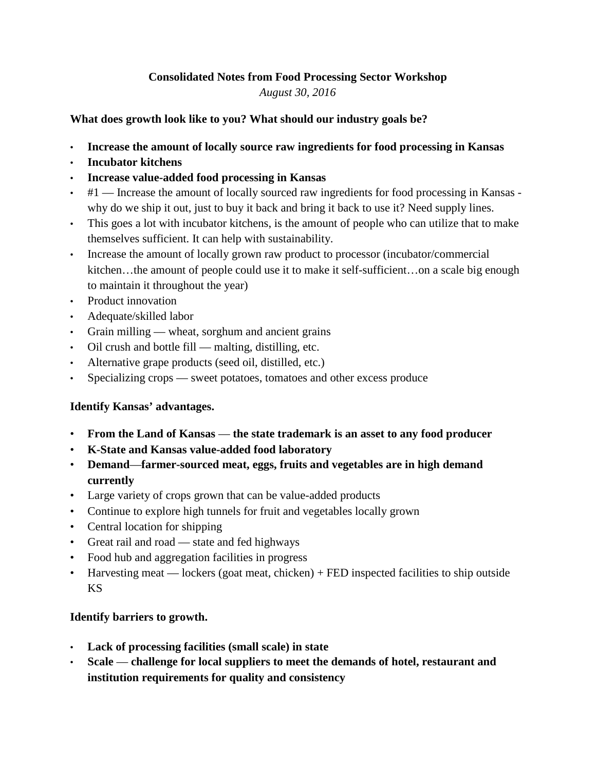# **Consolidated Notes from Food Processing Sector Workshop**

*August 30, 2016*

**What does growth look like to you? What should our industry goals be?**

- **Increase the amount of locally source raw ingredients for food processing in Kansas**
- **Incubator kitchens**
- **Increase value-added food processing in Kansas**
- $\cdot$  #1 Increase the amount of locally sourced raw ingredients for food processing in Kansas why do we ship it out, just to buy it back and bring it back to use it? Need supply lines.
- This goes a lot with incubator kitchens, is the amount of people who can utilize that to make themselves sufficient. It can help with sustainability.
- Increase the amount of locally grown raw product to processor (incubator/commercial kitchen…the amount of people could use it to make it self-sufficient…on a scale big enough to maintain it throughout the year)
- Product innovation
- Adequate/skilled labor
- Grain milling wheat, sorghum and ancient grains
- Oil crush and bottle fill malting, distilling, etc.
- Alternative grape products (seed oil, distilled, etc.)
- Specializing crops sweet potatoes, tomatoes and other excess produce

## **Identify Kansas' advantages.**

- **From the Land of Kansas the state trademark is an asset to any food producer**
- **K-State and Kansas value-added food laboratory**
- **Demand**—**farmer-sourced meat, eggs, fruits and vegetables are in high demand currently**
- Large variety of crops grown that can be value-added products
- Continue to explore high tunnels for fruit and vegetables locally grown
- Central location for shipping
- Great rail and road state and fed highways
- Food hub and aggregation facilities in progress
- Harvesting meat lockers (goat meat, chicken) + FED inspected facilities to ship outside KS

## **Identify barriers to growth.**

- **Lack of processing facilities (small scale) in state**
- **Scale challenge for local suppliers to meet the demands of hotel, restaurant and institution requirements for quality and consistency**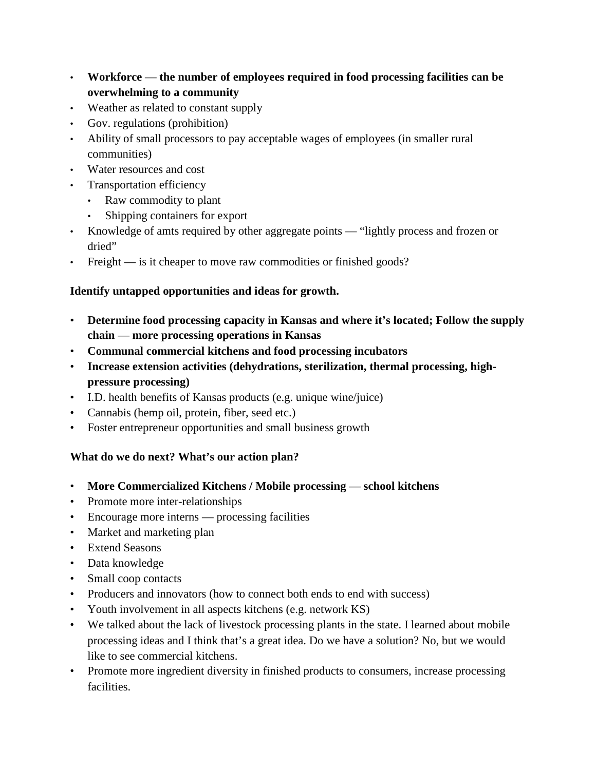- **Workforce the number of employees required in food processing facilities can be overwhelming to a community**
- Weather as related to constant supply
- Gov. regulations (prohibition)
- Ability of small processors to pay acceptable wages of employees (in smaller rural communities)
- Water resources and cost
- Transportation efficiency
	- Raw commodity to plant
	- Shipping containers for export
- Knowledge of amts required by other aggregate points "lightly process and frozen or dried"
- Freight is it cheaper to move raw commodities or finished goods?

#### **Identify untapped opportunities and ideas for growth.**

- **Determine food processing capacity in Kansas and where it's located; Follow the supply chain** — **more processing operations in Kansas**
- **Communal commercial kitchens and food processing incubators**
- **Increase extension activities (dehydrations, sterilization, thermal processing, highpressure processing)**
- I.D. health benefits of Kansas products (e.g. unique wine/juice)
- Cannabis (hemp oil, protein, fiber, seed etc.)
- Foster entrepreneur opportunities and small business growth

#### **What do we do next? What's our action plan?**

- **More Commercialized Kitchens / Mobile processing school kitchens**
- Promote more inter-relationships
- Encourage more interns processing facilities
- Market and marketing plan
- Extend Seasons
- Data knowledge
- Small coop contacts
- Producers and innovators (how to connect both ends to end with success)
- Youth involvement in all aspects kitchens (e.g. network KS)
- We talked about the lack of livestock processing plants in the state. I learned about mobile processing ideas and I think that's a great idea. Do we have a solution? No, but we would like to see commercial kitchens.
- Promote more ingredient diversity in finished products to consumers, increase processing facilities.